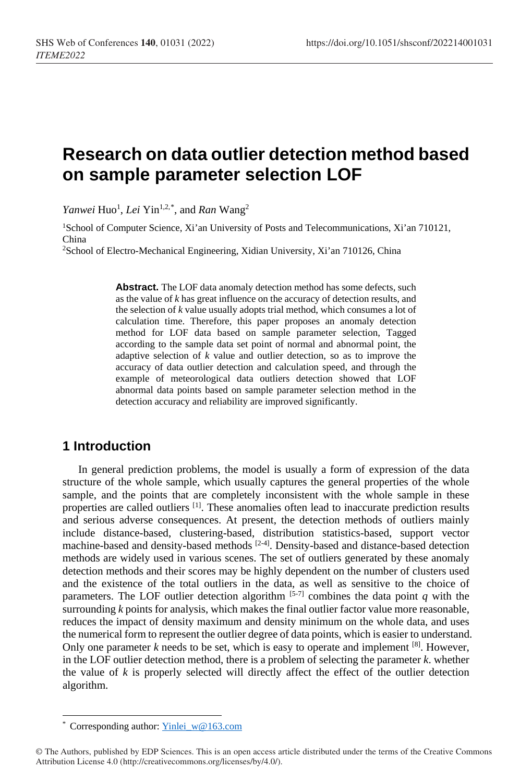# **Research on data outlier detection method based on sample parameter selection LOF**

*Yanwei* Huo<sup>1</sup>, *Lei* Yin<sup>1,2,[\\*](#page-0-0)</sup>, and *Ran* Wang<sup>2</sup>

1School of Computer Science, Xi'an University of Posts and Telecommunications, Xi'an 710121, China

2School of Electro-Mechanical Engineering, Xidian University, Xi'an 710126, China

Abstract. The LOF data anomaly detection method has some defects, such as the value of *k* has great influence on the accuracy of detection results, and the selection of *k* value usually adopts trial method, which consumes a lot of calculation time. Therefore, this paper proposes an anomaly detection method for LOF data based on sample parameter selection, Tagged according to the sample data set point of normal and abnormal point, the adaptive selection of *k* value and outlier detection, so as to improve the accuracy of data outlier detection and calculation speed, and through the example of meteorological data outliers detection showed that LOF abnormal data points based on sample parameter selection method in the detection accuracy and reliability are improved significantly.

### **1 Introduction**

In general prediction problems, the model is usually a form of expression of the data structure of the whole sample, which usually captures the general properties of the whole sample, and the points that are completely inconsistent with the whole sample in these properties are called outliers [1]. These anomalies often lead to inaccurate prediction results and serious adverse consequences. At present, the detection methods of outliers mainly include distance-based, clustering-based, distribution statistics-based, support vector machine-based and density-based methods [2-4]. Density-based and distance-based detection methods are widely used in various scenes. The set of outliers generated by these anomaly detection methods and their scores may be highly dependent on the number of clusters used and the existence of the total outliers in the data, as well as sensitive to the choice of parameters. The LOF outlier detection algorithm  $[5-7]$  combines the data point *q* with the surrounding *k* points for analysis, which makes the final outlier factor value more reasonable, reduces the impact of density maximum and density minimum on the whole data, and uses the numerical form to represent the outlier degree of data points, which is easier to understand. Only one parameter  $k$  needs to be set, which is easy to operate and implement  $[8]$ . However, in the LOF outlier detection method, there is a problem of selecting the parameter *k*. whether the value of  $k$  is properly selected will directly affect the effect of the outlier detection algorithm.

 <sup>\*</sup> Corresponding author: [Yinlei\\_w@163.com](mailto:Yinlei_w@163.com)

<span id="page-0-0"></span><sup>©</sup> The Authors, published by EDP Sciences. This is an open access article distributed under the terms of the Creative Commons Attribution License 4.0 (http://creativecommons.org/licenses/by/4.0/).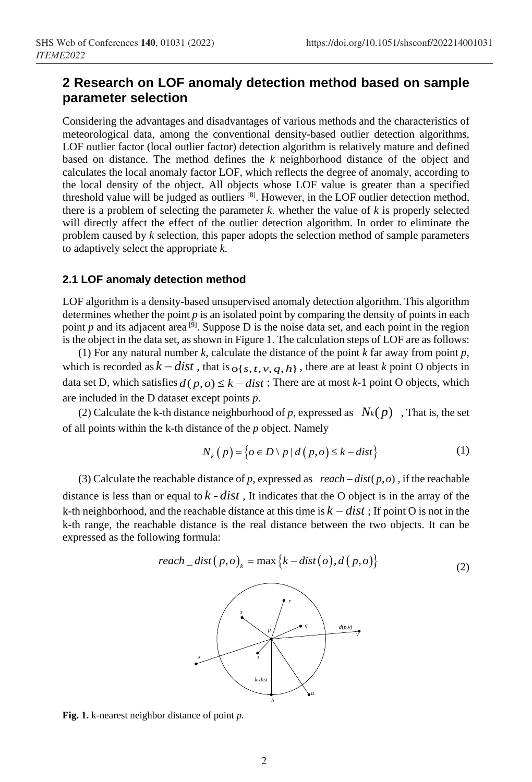# **2 Research on LOF anomaly detection method based on sample parameter selection**

Considering the advantages and disadvantages of various methods and the characteristics of meteorological data, among the conventional density-based outlier detection algorithms, LOF outlier factor (local outlier factor) detection algorithm is relatively mature and defined based on distance. The method defines the *k* neighborhood distance of the object and calculates the local anomaly factor LOF, which reflects the degree of anomaly, according to the local density of the object. All objects whose LOF value is greater than a specified threshold value will be judged as outliers [8]. However, in the LOF outlier detection method, there is a problem of selecting the parameter  $k$ . whether the value of  $k$  is properly selected will directly affect the effect of the outlier detection algorithm. In order to eliminate the problem caused by *k* selection, this paper adopts the selection method of sample parameters to adaptively select the appropriate *k*.

#### **2.1 LOF anomaly detection method**

LOF algorithm is a density-based unsupervised anomaly detection algorithm. This algorithm determines whether the point *p* is an isolated point by comparing the density of points in each point  $p$  and its adjacent area [9]. Suppose D is the noise data set, and each point in the region is the object in the data set, as shown in Figure 1. The calculation steps of LOF are as follows:

(1) For any natural number *k*, calculate the distance of the point *k* far away from point *p*, which is recorded as  $k - dist$ , that is  $\sigma{s, t, v, q, h}$ , there are at least *k* point O objects in data set D, which satisfies  $d(p, o) \leq k - dist$ ; There are at most  $k-1$  point O objects, which are included in the D dataset except points *p*.

(2) Calculate the k-th distance neighborhood of p, expressed as  $N_k(p)$ , That is, the set of all points within the k-th distance of the *p* object. Namely

$$
N_k(p) = \{o \in D \setminus p \mid d(p, o) \le k - dist\} \tag{1}
$$

(3) Calculate the reachable distance of *p*, expressed as  $reach - dist(p, o)$ , if the reachable distance is less than or equal to  $k - dist$ , It indicates that the O object is in the array of the k-th neighborhood, and the reachable distance at this time is  $k - dist$ ; If point O is not in the k-th range, the reachable distance is the real distance between the two objects. It can be expressed as the following formula:

$$
reach\_dist(p, o)_k = \max\{k - dist(o), d(p, o)\}
$$
\n(2)



**Fig. 1.** k-nearest neighbor distance of point *p.*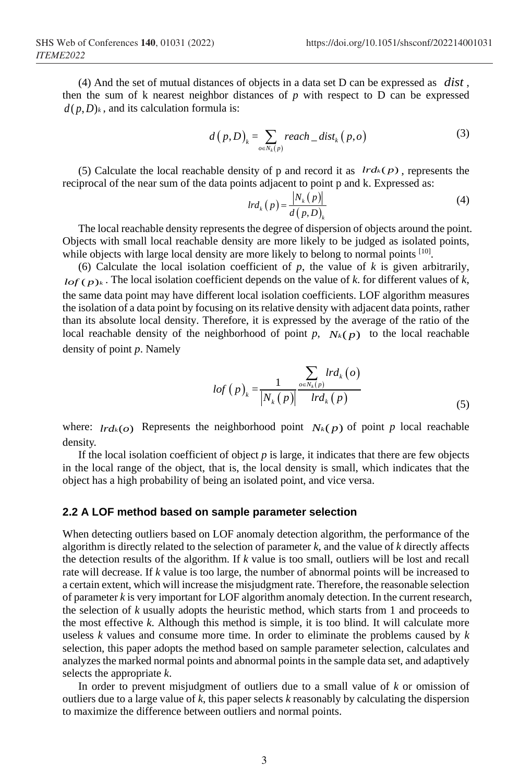(4) And the set of mutual distances of objects in a data set D can be expressed as *dist* , then the sum of k nearest neighbor distances of *p* with respect to D can be expressed  $d(p, D)_k$ , and its calculation formula is:

$$
d(p,D)_k = \sum_{o \in N_k(p)} reach\_dist_k(p,o)
$$
 (3)

(5) Calculate the local reachable density of p and record it as  $lrd_k(p)$ , represents the reciprocal of the near sum of the data points adjacent to point p and k. Expressed as:

$$
lrd_k(p) = \frac{|N_k(p)|}{d(p,D)_k}
$$
 (4)

The local reachable density represents the degree of dispersion of objects around the point. Objects with small local reachable density are more likely to be judged as isolated points, while objects with large local density are more likely to belong to normal points <sup>[10]</sup>.

(6) Calculate the local isolation coefficient of  $p$ , the value of  $k$  is given arbitrarily,  $lof (p)_k$ . The local isolation coefficient depends on the value of *k*. for different values of *k*, the same data point may have different local isolation coefficients. LOF algorithm measures the isolation of a data point by focusing on its relative density with adjacent data points, rather than its absolute local density. Therefore, it is expressed by the average of the ratio of the local reachable density of the neighborhood of point *p*,  $N_k(p)$  to the local reachable density of point *p*. Namely

$$
lof(p)_{k} = \frac{1}{\left|N_{k}(p)\right|} \frac{\sum_{o \in N_{k}(p)} lrd_{k}(o)}{lrd_{k}(p)}
$$
\n<sup>(5)</sup>

where:  $lrd_k(o)$  Represents the neighborhood point  $N_k(p)$  of point *p* local reachable density.

If the local isolation coefficient of object *p* is large, it indicates that there are few objects in the local range of the object, that is, the local density is small, which indicates that the object has a high probability of being an isolated point, and vice versa.

#### **2.2 A LOF method based on sample parameter selection**

When detecting outliers based on LOF anomaly detection algorithm, the performance of the algorithm is directly related to the selection of parameter *k*, and the value of *k* directly affects the detection results of the algorithm. If *k* value is too small, outliers will be lost and recall rate will decrease. If *k* value is too large, the number of abnormal points will be increased to a certain extent, which will increase the misjudgment rate. Therefore, the reasonable selection of parameter *k* is very important for LOF algorithm anomaly detection. In the current research, the selection of *k* usually adopts the heuristic method, which starts from 1 and proceeds to the most effective *k*. Although this method is simple, it is too blind. It will calculate more useless *k* values and consume more time. In order to eliminate the problems caused by *k* selection, this paper adopts the method based on sample parameter selection, calculates and analyzes the marked normal points and abnormal points in the sample data set, and adaptively selects the appropriate *k*.

In order to prevent misjudgment of outliers due to a small value of *k* or omission of outliers due to a large value of *k*, this paper selects *k* reasonably by calculating the dispersion to maximize the difference between outliers and normal points.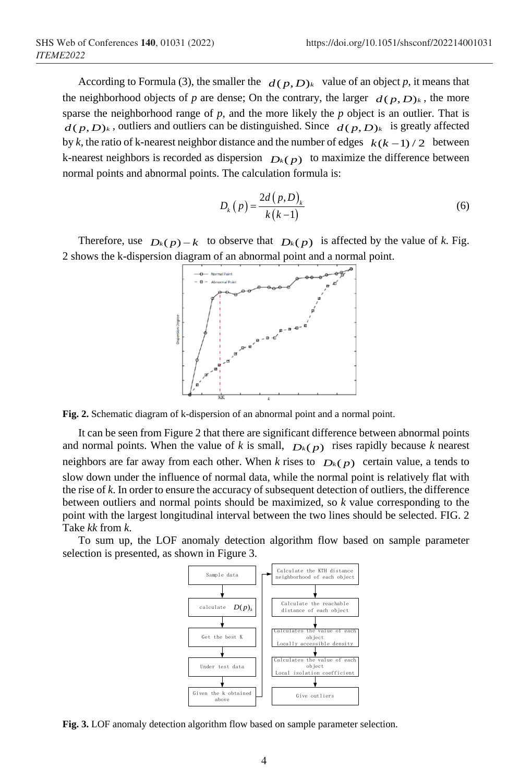According to Formula (3), the smaller the  $d(p, D)_k$  value of an object p, it means that the neighborhood objects of *p* are dense; On the contrary, the larger  $d(p, D)_k$ , the more sparse the neighborhood range of  $p$ , and the more likely the  $p$  object is an outlier. That is  $d(p, D)_k$ , outliers and outliers can be distinguished. Since  $d(p, D)_k$  is greatly affected by *k*, the ratio of k-nearest neighbor distance and the number of edges  $k(k-1)/2$  between k-nearest neighbors is recorded as dispersion  $D_k(p)$  to maximize the difference between normal points and abnormal points. The calculation formula is:

$$
D_k(p) = \frac{2d(p,D)_k}{k(k-1)}
$$
\n<sup>(6)</sup>

Therefore, use  $D_k(p) - k$  to observe that  $D_k(p)$  is affected by the value of k. Fig. 2 shows the k-dispersion diagram of an abnormal point and a normal point.



**Fig. 2.** Schematic diagram of k-dispersion of an abnormal point and a normal point.

It can be seen from Figure 2 that there are significant difference between abnormal points and normal points. When the value of *k* is small,  $D_k(p)$  rises rapidly because *k* nearest neighbors are far away from each other. When *k* rises to  $D_k(p)$  certain value, a tends to slow down under the influence of normal data, while the normal point is relatively flat with the rise of *k*. In order to ensure the accuracy of subsequent detection of outliers, the difference between outliers and normal points should be maximized, so *k* value corresponding to the point with the largest longitudinal interval between the two lines should be selected. FIG. 2 Take *kk* from *k*.

To sum up, the LOF anomaly detection algorithm flow based on sample parameter selection is presented, as shown in Figure 3.



**Fig. 3.** LOF anomaly detection algorithm flow based on sample parameter selection.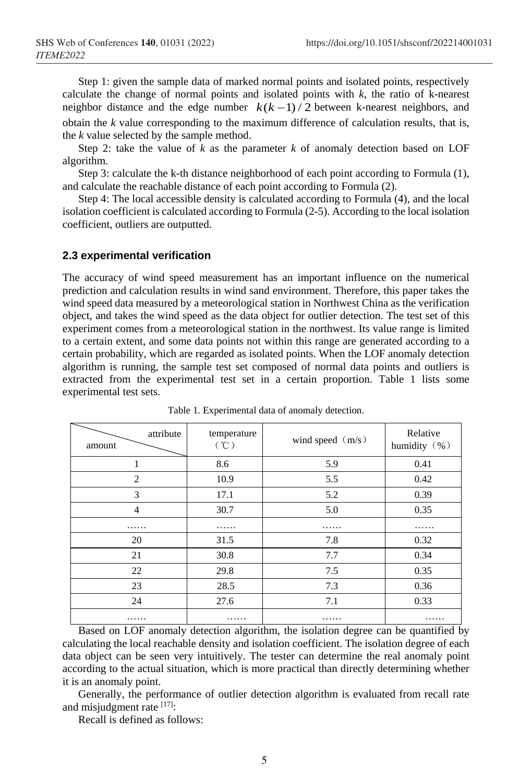Step 1: given the sample data of marked normal points and isolated points, respectively calculate the change of normal points and isolated points with *k*, the ratio of k-nearest neighbor distance and the edge number  $k(k-1)/2$  between k-nearest neighbors, and obtain the *k* value corresponding to the maximum difference of calculation results, that is, the *k* value selected by the sample method.

Step 2: take the value of  $k$  as the parameter  $k$  of anomaly detection based on LOF algorithm.

Step 3: calculate the k-th distance neighborhood of each point according to Formula (1), and calculate the reachable distance of each point according to Formula (2).

Step 4: The local accessible density is calculated according to Formula (4), and the local isolation coefficient is calculated according to Formula (2-5). According to the local isolation coefficient, outliers are outputted.

#### **2.3 experimental verification**

The accuracy of wind speed measurement has an important influence on the numerical prediction and calculation results in wind sand environment. Therefore, this paper takes the wind speed data measured by a meteorological station in Northwest China as the verification object, and takes the wind speed as the data object for outlier detection. The test set of this experiment comes from a meteorological station in the northwest. Its value range is limited to a certain extent, and some data points not within this range are generated according to a certain probability, which are regarded as isolated points. When the LOF anomaly detection algorithm is running, the sample test set composed of normal data points and outliers is extracted from the experimental test set in a certain proportion. Table 1 lists some experimental test sets.

| attribute<br>amount | temperature<br>(°C) | wind speed $(m/s)$ | Relative<br>humidity (%) |
|---------------------|---------------------|--------------------|--------------------------|
| 1                   | 8.6                 | 5.9                | 0.41                     |
| 2                   | 10.9                | 5.5                | 0.42                     |
| 3                   | 17.1                | 5.2                | 0.39                     |
| $\overline{4}$      | 30.7                | 5.0                | 0.35                     |
| .                   | .                   | .                  | .                        |
| 20                  | 31.5                | 7.8                | 0.32                     |
| 21                  | 30.8                | 7.7                | 0.34                     |
| 22                  | 29.8                | 7.5                | 0.35                     |
| 23                  | 28.5                | 7.3                | 0.36                     |
| 24                  | 27.6                | 7.1                | 0.33                     |
| .                   | .                   | .                  | .                        |

Table 1. Experimental data of anomaly detection.

Based on LOF anomaly detection algorithm, the isolation degree can be quantified by calculating the local reachable density and isolation coefficient. The isolation degree of each data object can be seen very intuitively. The tester can determine the real anomaly point according to the actual situation, which is more practical than directly determining whether it is an anomaly point.

Generally, the performance of outlier detection algorithm is evaluated from recall rate and misjudgment rate [17]:

Recall is defined as follows: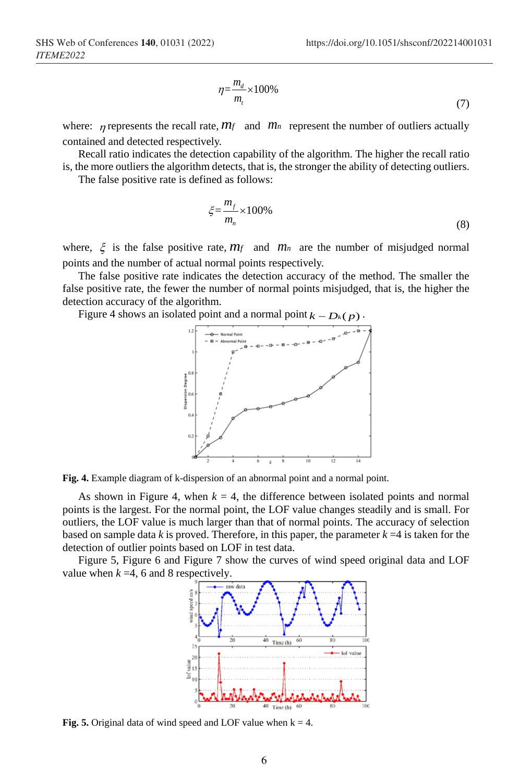$$
\eta = \frac{m_d}{m_t} \times 100\%
$$
\n<sup>(7)</sup>

where:  $\eta$  represents the recall rate,  $m_f$  and  $m_n$  represent the number of outliers actually contained and detected respectively.

Recall ratio indicates the detection capability of the algorithm. The higher the recall ratio is, the more outliers the algorithm detects, that is, the stronger the ability of detecting outliers.

The false positive rate is defined as follows:

$$
\xi = \frac{m_f}{m_n} \times 100\%
$$
\n(8)

where,  $\xi$  is the false positive rate,  $m_f$  and  $m_n$  are the number of misjudged normal points and the number of actual normal points respectively.

The false positive rate indicates the detection accuracy of the method. The smaller the false positive rate, the fewer the number of normal points misjudged, that is, the higher the detection accuracy of the algorithm.

Figure 4 shows an isolated point and a normal point  $k - D_k(p)$ .





As shown in Figure 4, when  $k = 4$ , the difference between isolated points and normal points is the largest. For the normal point, the LOF value changes steadily and is small. For outliers, the LOF value is much larger than that of normal points. The accuracy of selection based on sample data  $k$  is proved. Therefore, in this paper, the parameter  $k = 4$  is taken for the detection of outlier points based on LOF in test data.

Figure 5, Figure 6 and Figure 7 show the curves of wind speed original data and LOF value when  $k = 4$ , 6 and 8 respectively.



**Fig. 5.** Original data of wind speed and LOF value when  $k = 4$ .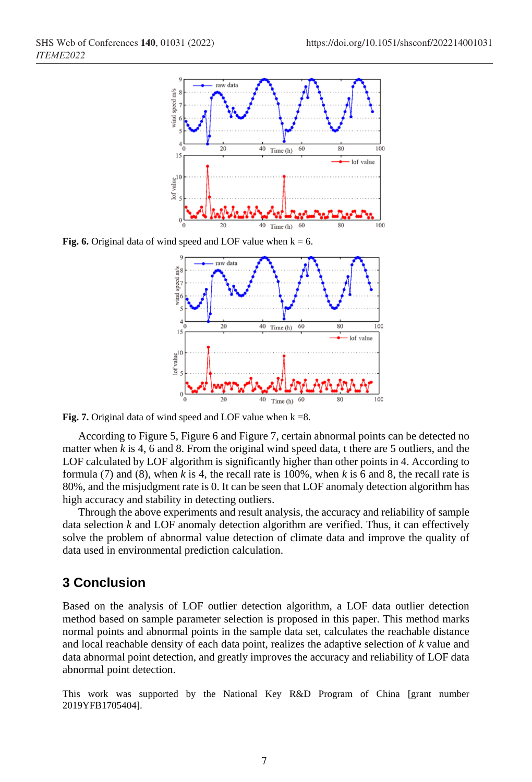

**Fig. 6.** Original data of wind speed and LOF value when  $k = 6$ .



**Fig. 7.** Original data of wind speed and LOF value when  $k = 8$ .

According to Figure 5, Figure 6 and Figure 7, certain abnormal points can be detected no matter when *k* is 4, 6 and 8. From the original wind speed data, t there are 5 outliers, and the LOF calculated by LOF algorithm is significantly higher than other points in 4. According to formula (7) and (8), when *k* is 4, the recall rate is 100%, when *k* is 6 and 8, the recall rate is 80%, and the misjudgment rate is 0. It can be seen that LOF anomaly detection algorithm has high accuracy and stability in detecting outliers.

Through the above experiments and result analysis, the accuracy and reliability of sample data selection  $k$  and LOF anomaly detection algorithm are verified. Thus, it can effectively solve the problem of abnormal value detection of climate data and improve the quality of data used in environmental prediction calculation.

### **3 Conclusion**

Based on the analysis of LOF outlier detection algorithm, a LOF data outlier detection method based on sample parameter selection is proposed in this paper. This method marks normal points and abnormal points in the sample data set, calculates the reachable distance and local reachable density of each data point, realizes the adaptive selection of *k* value and data abnormal point detection, and greatly improves the accuracy and reliability of LOF data abnormal point detection.

This work was supported by the National Key R&D Program of China [grant number 2019YFB1705404].